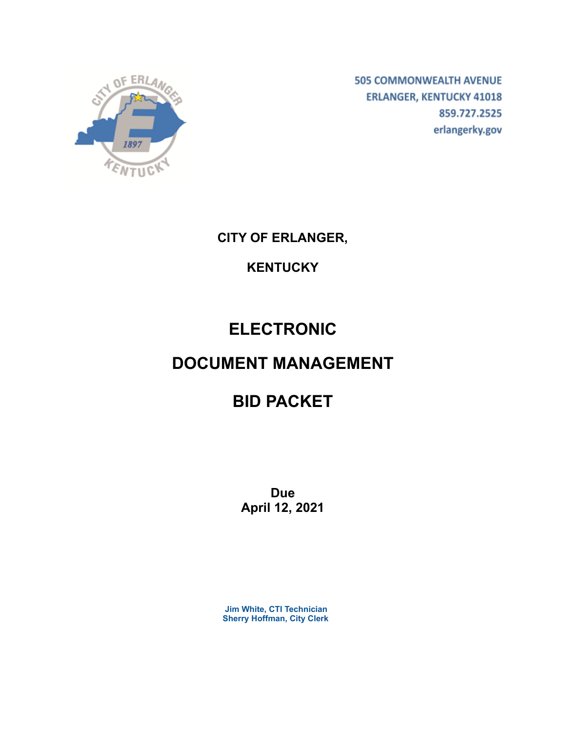

**505 COMMONWEALTH AVENUE ERLANGER, KENTUCKY 41018** 859.727.2525 erlangerky.gov

**CITY OF ERLANGER,**

# **KENTUCKY**

# **ELECTRONIC**

# **DOCUMENT MANAGEMENT**

# **BID PACKET**

**Due April 12, 2021**

**Jim White, CTI Technician Sherry Hoffman, City Clerk**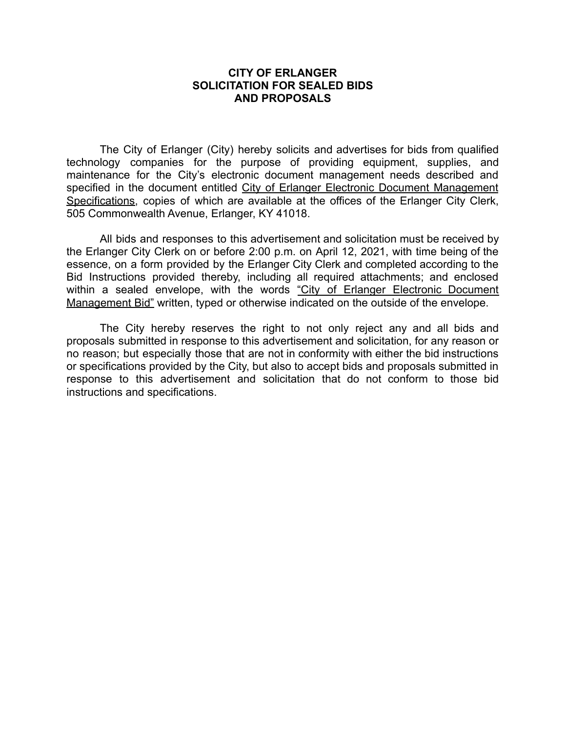#### **CITY OF ERLANGER SOLICITATION FOR SEALED BIDS AND PROPOSALS**

The City of Erlanger (City) hereby solicits and advertises for bids from qualified technology companies for the purpose of providing equipment, supplies, and maintenance for the City's electronic document management needs described and specified in the document entitled City of Erlanger Electronic Document Management Specifications, copies of which are available at the offices of the Erlanger City Clerk, 505 Commonwealth Avenue, Erlanger, KY 41018.

All bids and responses to this advertisement and solicitation must be received by the Erlanger City Clerk on or before 2:00 p.m. on April 12, 2021, with time being of the essence, on a form provided by the Erlanger City Clerk and completed according to the Bid Instructions provided thereby, including all required attachments; and enclosed within a sealed envelope, with the words "City of Erlanger Electronic Document Management Bid" written, typed or otherwise indicated on the outside of the envelope.

The City hereby reserves the right to not only reject any and all bids and proposals submitted in response to this advertisement and solicitation, for any reason or no reason; but especially those that are not in conformity with either the bid instructions or specifications provided by the City, but also to accept bids and proposals submitted in response to this advertisement and solicitation that do not conform to those bid instructions and specifications.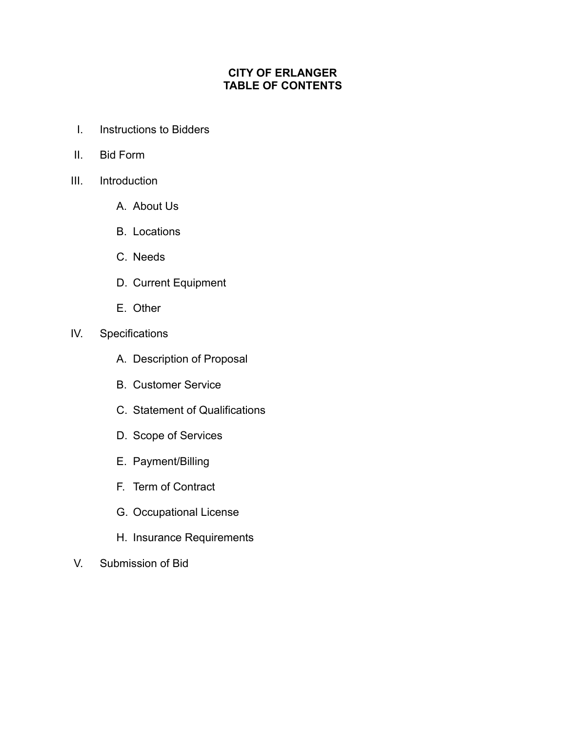# **CITY OF ERLANGER TABLE OF CONTENTS**

- I. Instructions to Bidders
- II. Bid Form
- III. Introduction
	- A. About Us
	- B. Locations
	- C. Needs
	- D. Current Equipment
	- E. Other
- IV. Specifications
	- A. Description of Proposal
	- B. Customer Service
	- C. Statement of Qualifications
	- D. Scope of Services
	- E. Payment/Billing
	- F. Term of Contract
	- G. Occupational License
	- H. Insurance Requirements
- V. Submission of Bid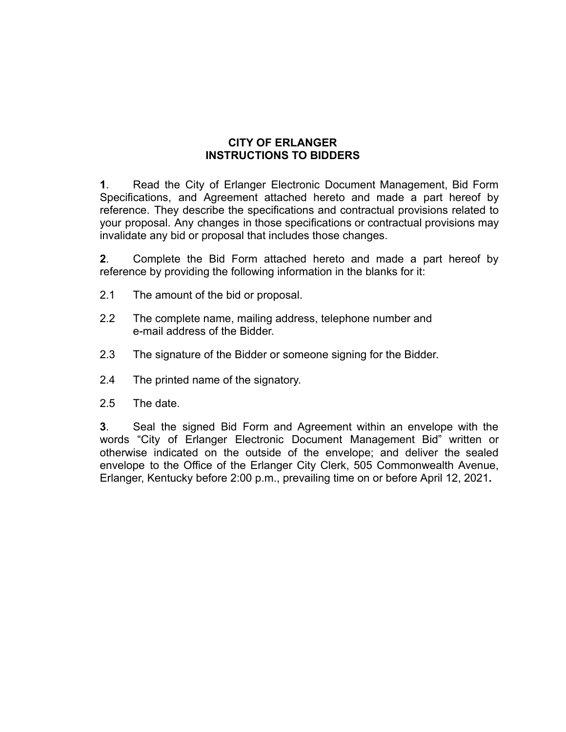### **CITY OF ERLANGER INSTRUCTIONS TO BIDDERS**

**1**. Read the City of Erlanger Electronic Document Management, Bid Form Specifications, and Agreement attached hereto and made a part hereof by reference. They describe the specifications and contractual provisions related to your proposal. Any changes in those specifications or contractual provisions may invalidate any bid or proposal that includes those changes.

**2**. Complete the Bid Form attached hereto and made a part hereof by reference by providing the following information in the blanks for it:

- 2.1 The amount of the bid or proposal.
- 2.2 The complete name, mailing address, telephone number and e-mail address of the Bidder.
- 2.3 The signature of the Bidder or someone signing for the Bidder.
- 2.4 The printed name of the signatory.
- 2.5 The date.

**3**. Seal the signed Bid Form and Agreement within an envelope with the words "City of Erlanger Electronic Document Management Bid" written or otherwise indicated on the outside of the envelope; and deliver the sealed envelope to the Office of the Erlanger City Clerk, 505 Commonwealth Avenue, Erlanger, Kentucky before 2:00 p.m., prevailing time on or before April 12, 2021**.**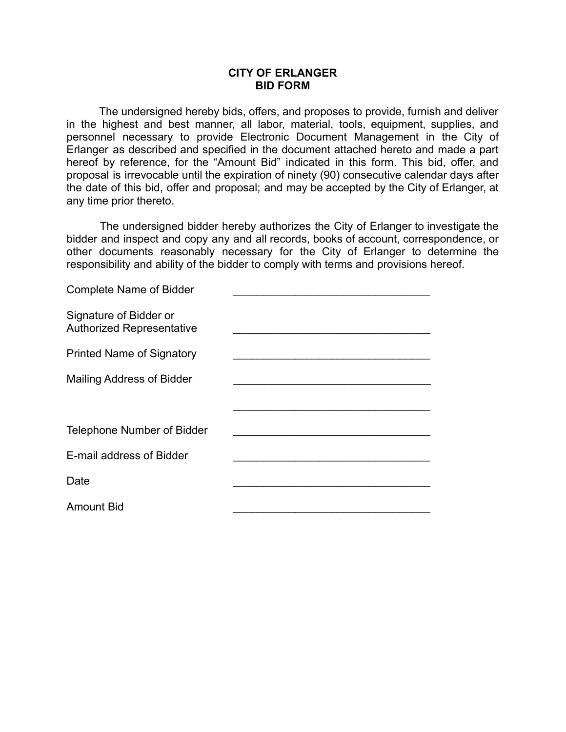#### **CITY OF ERLANGER BID FORM**

The undersigned hereby bids, offers, and proposes to provide, furnish and deliver in the highest and best manner, all labor, material, tools, equipment, supplies, and personnel necessary to provide Electronic Document Management in the City of Erlanger as described and specified in the document attached hereto and made a part hereof by reference, for the "Amount Bid" indicated in this form. This bid, offer, and proposal is irrevocable until the expiration of ninety (90) consecutive calendar days after the date of this bid, offer and proposal; and may be accepted by the City of Erlanger, at any time prior thereto.

The undersigned bidder hereby authorizes the City of Erlanger to investigate the bidder and inspect and copy any and all records, books of account, correspondence, or other documents reasonably necessary for the City of Erlanger to determine the responsibility and ability of the bidder to comply with terms and provisions hereof.

| <b>Complete Name of Bidder</b>                             |  |
|------------------------------------------------------------|--|
| Signature of Bidder or<br><b>Authorized Representative</b> |  |
| <b>Printed Name of Signatory</b>                           |  |
| <b>Mailing Address of Bidder</b>                           |  |
|                                                            |  |
| Telephone Number of Bidder                                 |  |
| E-mail address of Bidder                                   |  |
| Date                                                       |  |
| <b>Amount Bid</b>                                          |  |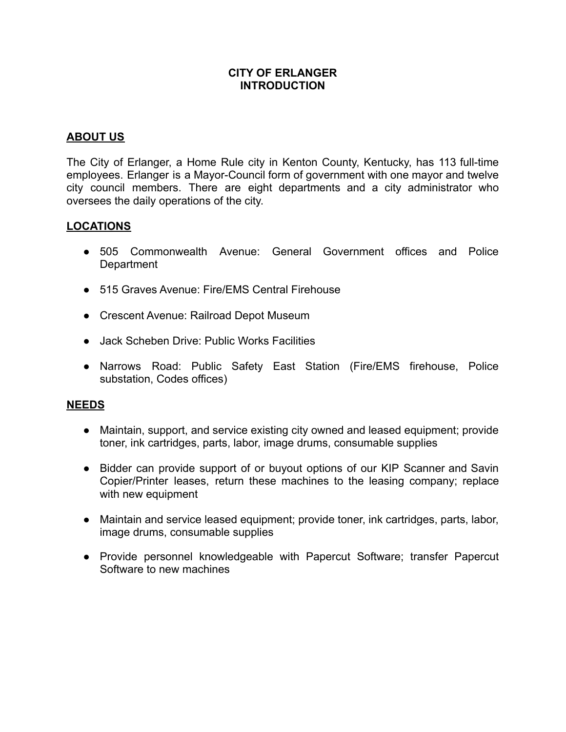#### **CITY OF ERLANGER INTRODUCTION**

### **ABOUT US**

The City of Erlanger, a Home Rule city in Kenton County, Kentucky, has 113 full-time employees. Erlanger is a Mayor-Council form of government with one mayor and twelve city council members. There are eight departments and a city administrator who oversees the daily operations of the city.

#### **LOCATIONS**

- 505 Commonwealth Avenue: General Government offices and Police **Department**
- 515 Graves Avenue: Fire/EMS Central Firehouse
- Crescent Avenue: Railroad Depot Museum
- Jack Scheben Drive: Public Works Facilities
- Narrows Road: Public Safety East Station (Fire/EMS firehouse, Police substation, Codes offices)

#### **NEEDS**

- Maintain, support, and service existing city owned and leased equipment; provide toner, ink cartridges, parts, labor, image drums, consumable supplies
- Bidder can provide support of or buyout options of our KIP Scanner and Savin Copier/Printer leases, return these machines to the leasing company; replace with new equipment
- Maintain and service leased equipment; provide toner, ink cartridges, parts, labor, image drums, consumable supplies
- Provide personnel knowledgeable with Papercut Software; transfer Papercut Software to new machines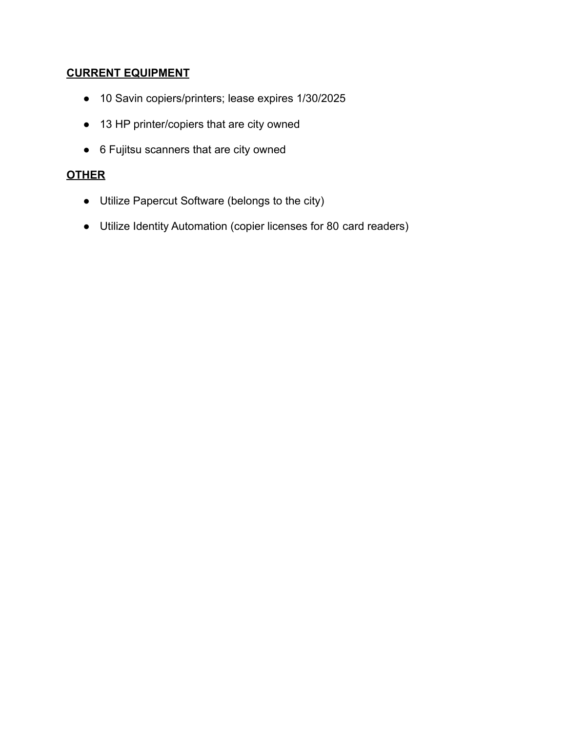# **CURRENT EQUIPMENT**

- 10 Savin copiers/printers; lease expires 1/30/2025
- 13 HP printer/copiers that are city owned
- 6 Fujitsu scanners that are city owned

# **OTHER**

- Utilize Papercut Software (belongs to the city)
- Utilize Identity Automation (copier licenses for 80 card readers)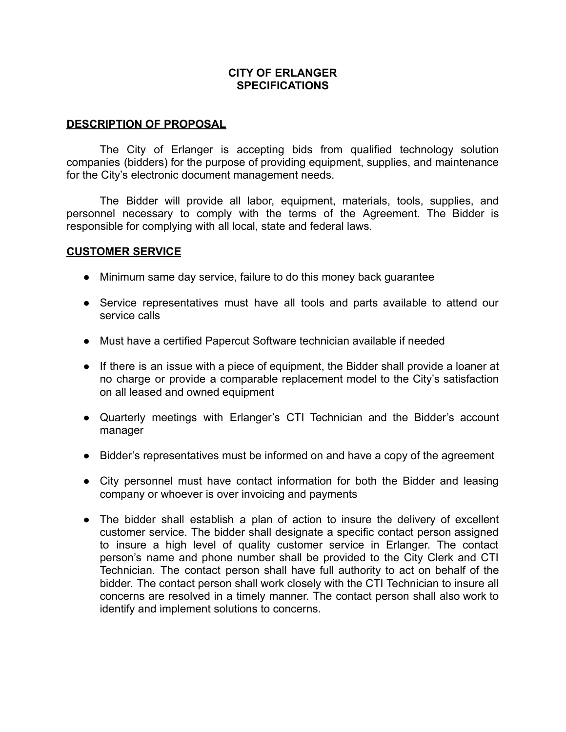#### **CITY OF ERLANGER SPECIFICATIONS**

#### **DESCRIPTION OF PROPOSAL**

The City of Erlanger is accepting bids from qualified technology solution companies (bidders) for the purpose of providing equipment, supplies, and maintenance for the City's electronic document management needs.

The Bidder will provide all labor, equipment, materials, tools, supplies, and personnel necessary to comply with the terms of the Agreement. The Bidder is responsible for complying with all local, state and federal laws.

#### **CUSTOMER SERVICE**

- Minimum same day service, failure to do this money back quarantee
- Service representatives must have all tools and parts available to attend our service calls
- Must have a certified Papercut Software technician available if needed
- If there is an issue with a piece of equipment, the Bidder shall provide a loaner at no charge or provide a comparable replacement model to the City's satisfaction on all leased and owned equipment
- Quarterly meetings with Erlanger's CTI Technician and the Bidder's account manager
- Bidder's representatives must be informed on and have a copy of the agreement
- City personnel must have contact information for both the Bidder and leasing company or whoever is over invoicing and payments
- The bidder shall establish a plan of action to insure the delivery of excellent customer service. The bidder shall designate a specific contact person assigned to insure a high level of quality customer service in Erlanger. The contact person's name and phone number shall be provided to the City Clerk and CTI Technician. The contact person shall have full authority to act on behalf of the bidder. The contact person shall work closely with the CTI Technician to insure all concerns are resolved in a timely manner. The contact person shall also work to identify and implement solutions to concerns.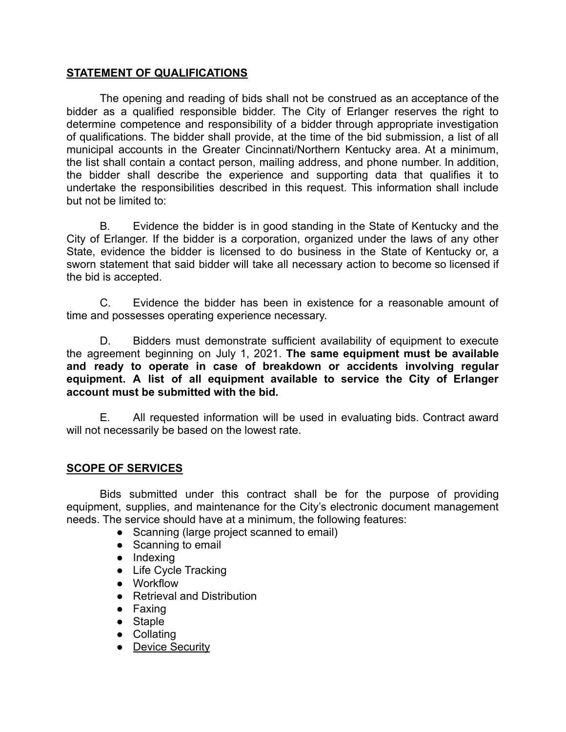# **STATEMENT OF QUALIFICATIONS**

The opening and reading of bids shall not be construed as an acceptance of the bidder as a qualified responsible bidder. The City of Erlanger reserves the right to determine competence and responsibility of a bidder through appropriate investigation of qualifications. The bidder shall provide, at the time of the bid submission, a list of all municipal accounts in the Greater Cincinnati/Northern Kentucky area. At a minimum, the list shall contain a contact person, mailing address, and phone number. In addition, the bidder shall describe the experience and supporting data that qualifies it to undertake the responsibilities described in this request. This information shall include but not be limited to:

B. Evidence the bidder is in good standing in the State of Kentucky and the City of Erlanger. If the bidder is a corporation, organized under the laws of any other State, evidence the bidder is licensed to do business in the State of Kentucky or, a sworn statement that said bidder will take all necessary action to become so licensed if the bid is accepted.

C. Evidence the bidder has been in existence for a reasonable amount of time and possesses operating experience necessary.

D. Bidders must demonstrate sufficient availability of equipment to execute the agreement beginning on July 1, 2021. **The same equipment must be available and ready to operate in case of breakdown or accidents involving regular equipment. A list of all equipment available to service the City of Erlanger account must be submitted with the bid.**

E. All requested information will be used in evaluating bids. Contract award will not necessarily be based on the lowest rate.

# **SCOPE OF SERVICES**

Bids submitted under this contract shall be for the purpose of providing equipment, supplies, and maintenance for the City's electronic document management needs. The service should have at a minimum, the following features:

- Scanning (large project scanned to email)
- Scanning to email
- Indexing
- Life Cycle Tracking
- Workflow
- Retrieval and Distribution
- Faxing
- Staple
- Collating
- Device Security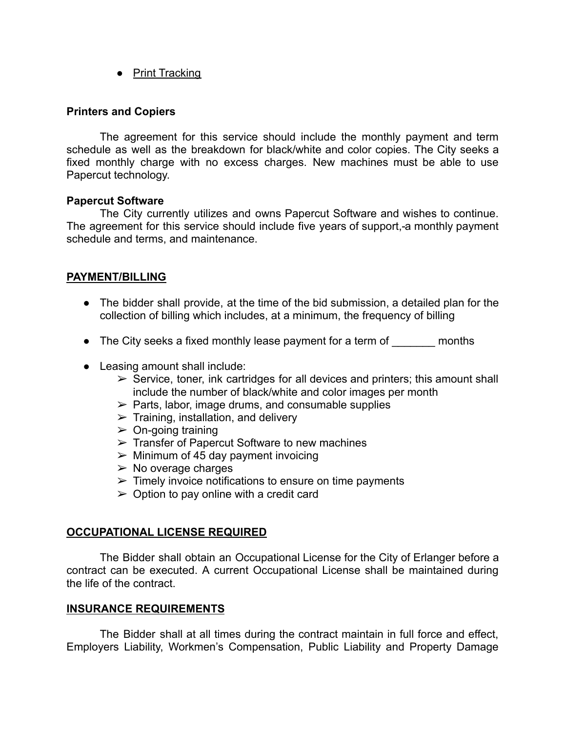● Print Tracking

#### **Printers and Copiers**

The agreement for this service should include the monthly payment and term schedule as well as the breakdown for black/white and color copies. The City seeks a fixed monthly charge with no excess charges. New machines must be able to use Papercut technology.

#### **Papercut Software**

The City currently utilizes and owns Papercut Software and wishes to continue. The agreement for this service should include five years of support, a monthly payment schedule and terms, and maintenance.

# **PAYMENT/BILLING**

- The bidder shall provide, at the time of the bid submission, a detailed plan for the collection of billing which includes, at a minimum, the frequency of billing
- The City seeks a fixed monthly lease payment for a term of months
- Leasing amount shall include:
	- $\triangleright$  Service, toner, ink cartridges for all devices and printers; this amount shall include the number of black/white and color images per month
	- $\triangleright$  Parts, labor, image drums, and consumable supplies
	- $\triangleright$  Training, installation, and delivery
	- $\geq$  On-going training
	- $\triangleright$  Transfer of Papercut Software to new machines
	- $\triangleright$  Minimum of 45 day payment invoicing
	- $\triangleright$  No overage charges
	- $\triangleright$  Timely invoice notifications to ensure on time payments
	- $\geq$  Option to pay online with a credit card

### **OCCUPATIONAL LICENSE REQUIRED**

The Bidder shall obtain an Occupational License for the City of Erlanger before a contract can be executed. A current Occupational License shall be maintained during the life of the contract.

#### **INSURANCE REQUIREMENTS**

The Bidder shall at all times during the contract maintain in full force and effect, Employers Liability, Workmen's Compensation, Public Liability and Property Damage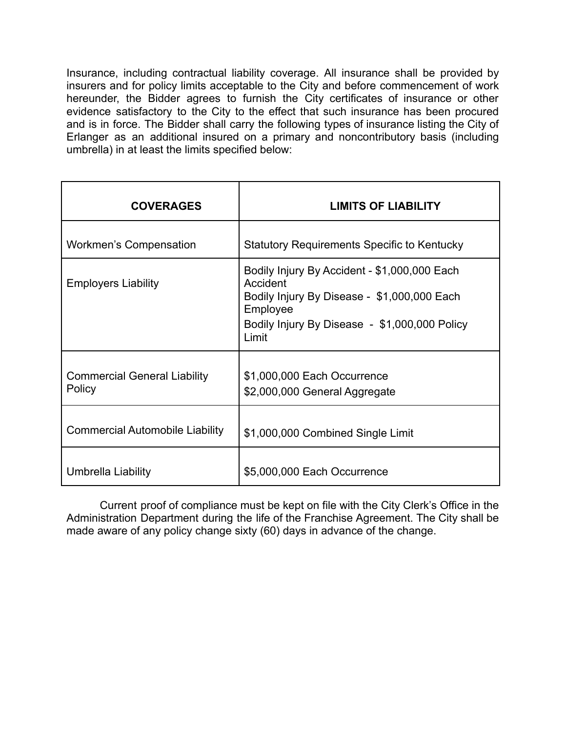Insurance, including contractual liability coverage. All insurance shall be provided by insurers and for policy limits acceptable to the City and before commencement of work hereunder, the Bidder agrees to furnish the City certificates of insurance or other evidence satisfactory to the City to the effect that such insurance has been procured and is in force. The Bidder shall carry the following types of insurance listing the City of Erlanger as an additional insured on a primary and noncontributory basis (including umbrella) in at least the limits specified below:

| <b>COVERAGES</b>                              | <b>LIMITS OF LIABILITY</b>                                                                                                                                                    |
|-----------------------------------------------|-------------------------------------------------------------------------------------------------------------------------------------------------------------------------------|
| <b>Workmen's Compensation</b>                 | <b>Statutory Requirements Specific to Kentucky</b>                                                                                                                            |
| <b>Employers Liability</b>                    | Bodily Injury By Accident - \$1,000,000 Each<br>Accident<br>Bodily Injury By Disease - \$1,000,000 Each<br>Employee<br>Bodily Injury By Disease - \$1,000,000 Policy<br>Limit |
| <b>Commercial General Liability</b><br>Policy | \$1,000,000 Each Occurrence<br>\$2,000,000 General Aggregate                                                                                                                  |
| <b>Commercial Automobile Liability</b>        | \$1,000,000 Combined Single Limit                                                                                                                                             |
| Umbrella Liability                            | \$5,000,000 Each Occurrence                                                                                                                                                   |

Current proof of compliance must be kept on file with the City Clerk's Office in the Administration Department during the life of the Franchise Agreement. The City shall be made aware of any policy change sixty (60) days in advance of the change.